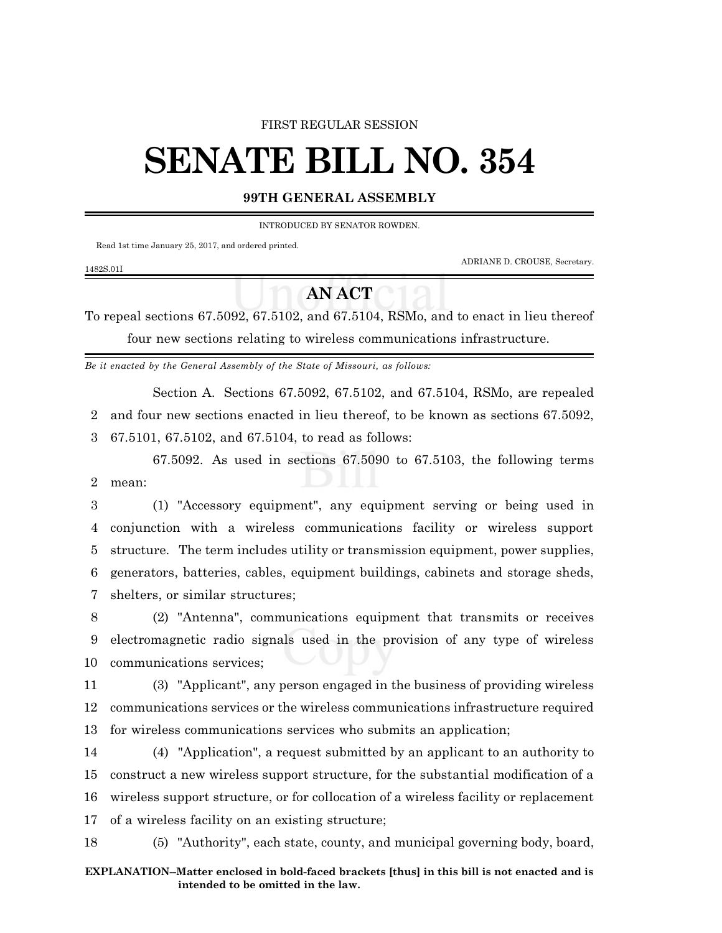#### FIRST REGULAR SESSION

# **SENATE BILL NO. 354**

## **99TH GENERAL ASSEMBLY**

INTRODUCED BY SENATOR ROWDEN.

Read 1st time January 25, 2017, and ordered printed.

1482S.01I

ADRIANE D. CROUSE, Secretary.

## **AN ACT**

To repeal sections 67.5092, 67.5102, and 67.5104, RSMo, and to enact in lieu thereof four new sections relating to wireless communications infrastructure.

*Be it enacted by the General Assembly of the State of Missouri, as follows:*

Section A. Sections 67.5092, 67.5102, and 67.5104, RSMo, are repealed 2 and four new sections enacted in lieu thereof, to be known as sections 67.5092, 3 67.5101, 67.5102, and 67.5104, to read as follows:

67.5092. As used in sections 67.5090 to 67.5103, the following terms 2 mean:

 (1) "Accessory equipment", any equipment serving or being used in conjunction with a wireless communications facility or wireless support structure. The term includes utility or transmission equipment, power supplies, generators, batteries, cables, equipment buildings, cabinets and storage sheds, shelters, or similar structures;

8 (2) "Antenna", communications equipment that transmits or receives 9 electromagnetic radio signals used in the provision of any type of wireless 10 communications services;

11 (3) "Applicant", any person engaged in the business of providing wireless 12 communications services or the wireless communications infrastructure required 13 for wireless communications services who submits an application;

 (4) "Application", a request submitted by an applicant to an authority to construct a new wireless support structure, for the substantial modification of a wireless support structure, or for collocation of a wireless facility or replacement of a wireless facility on an existing structure;

18 (5) "Authority", each state, county, and municipal governing body, board,

#### **EXPLANATION--Matter enclosed in bold-faced brackets [thus] in this bill is not enacted and is intended to be omitted in the law.**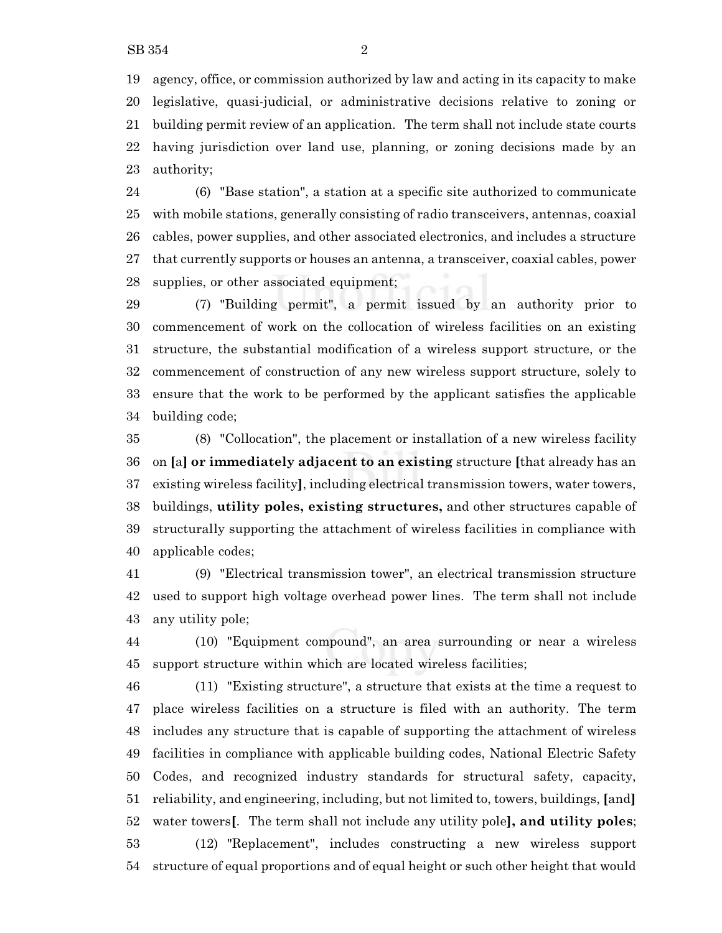agency, office, or commission authorized by law and acting in its capacity to make legislative, quasi-judicial, or administrative decisions relative to zoning or building permit review of an application. The term shall not include state courts having jurisdiction over land use, planning, or zoning decisions made by an authority;

 (6) "Base station", a station at a specific site authorized to communicate with mobile stations, generally consisting of radio transceivers, antennas, coaxial cables, power supplies, and other associated electronics, and includes a structure that currently supports or houses an antenna, a transceiver, coaxial cables, power supplies, or other associated equipment;

 (7) "Building permit", a permit issued by an authority prior to commencement of work on the collocation of wireless facilities on an existing structure, the substantial modification of a wireless support structure, or the commencement of construction of any new wireless support structure, solely to ensure that the work to be performed by the applicant satisfies the applicable building code;

 (8) "Collocation", the placement or installation of a new wireless facility on **[**a**] or immediately adjacent to an existing** structure **[**that already has an existing wireless facility**]**, including electrical transmission towers, water towers, buildings, **utility poles, existing structures,** and other structures capable of structurally supporting the attachment of wireless facilities in compliance with applicable codes;

 (9) "Electrical transmission tower", an electrical transmission structure used to support high voltage overhead power lines. The term shall not include any utility pole;

 (10) "Equipment compound", an area surrounding or near a wireless support structure within which are located wireless facilities;

 (11) "Existing structure", a structure that exists at the time a request to place wireless facilities on a structure is filed with an authority. The term includes any structure that is capable of supporting the attachment of wireless facilities in compliance with applicable building codes, National Electric Safety Codes, and recognized industry standards for structural safety, capacity, reliability, and engineering, including, but not limited to, towers, buildings, **[**and**]** water towers**[**. The term shall not include any utility pole**], and utility poles**; (12) "Replacement", includes constructing a new wireless support structure of equal proportions and of equal height or such other height that would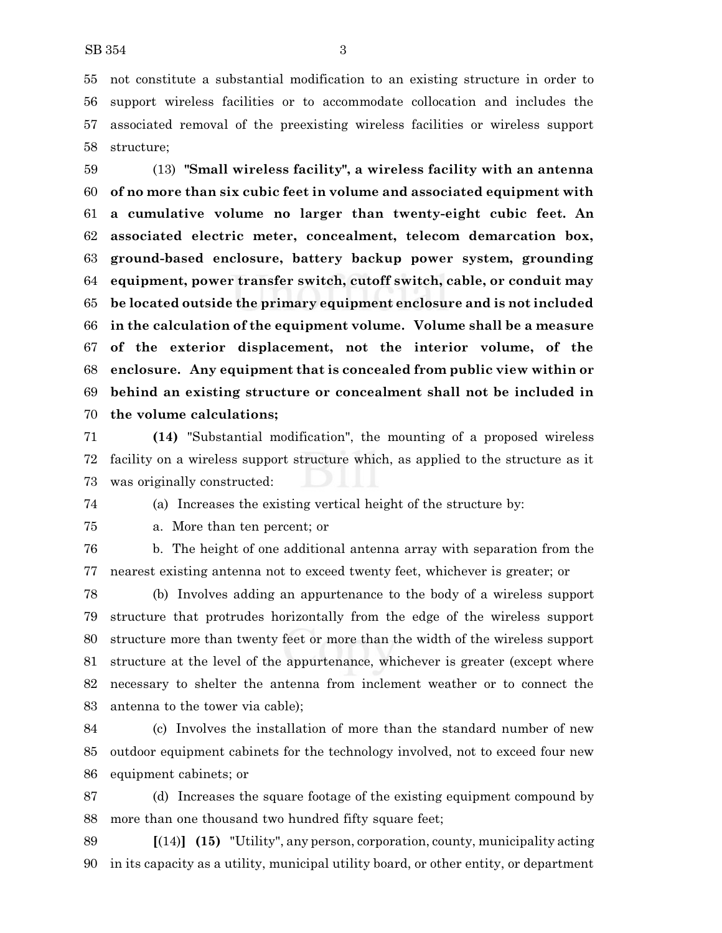not constitute a substantial modification to an existing structure in order to support wireless facilities or to accommodate collocation and includes the associated removal of the preexisting wireless facilities or wireless support structure;

 (13) **"Small wireless facility", a wireless facility with an antenna of no more than six cubic feet in volume and associated equipment with a cumulative volume no larger than twenty-eight cubic feet. An associated electric meter, concealment, telecom demarcation box, ground-based enclosure, battery backup power system, grounding equipment, power transfer switch, cutoff switch, cable, or conduit may be located outside the primary equipment enclosure and is not included in the calculation of the equipment volume. Volume shall be a measure of the exterior displacement, not the interior volume, of the enclosure. Any equipment that is concealed from public view within or behind an existing structure or concealment shall not be included in the volume calculations;**

 **(14)** "Substantial modification", the mounting of a proposed wireless facility on a wireless support structure which, as applied to the structure as it was originally constructed:

(a) Increases the existing vertical height of the structure by:

a. More than ten percent; or

 b. The height of one additional antenna array with separation from the nearest existing antenna not to exceed twenty feet, whichever is greater; or

 (b) Involves adding an appurtenance to the body of a wireless support structure that protrudes horizontally from the edge of the wireless support structure more than twenty feet or more than the width of the wireless support structure at the level of the appurtenance, whichever is greater (except where necessary to shelter the antenna from inclement weather or to connect the antenna to the tower via cable);

 (c) Involves the installation of more than the standard number of new outdoor equipment cabinets for the technology involved, not to exceed four new equipment cabinets; or

 (d) Increases the square footage of the existing equipment compound by more than one thousand two hundred fifty square feet;

 **[**(14)**] (15)** "Utility", any person, corporation, county, municipality acting in its capacity as a utility, municipal utility board, or other entity, or department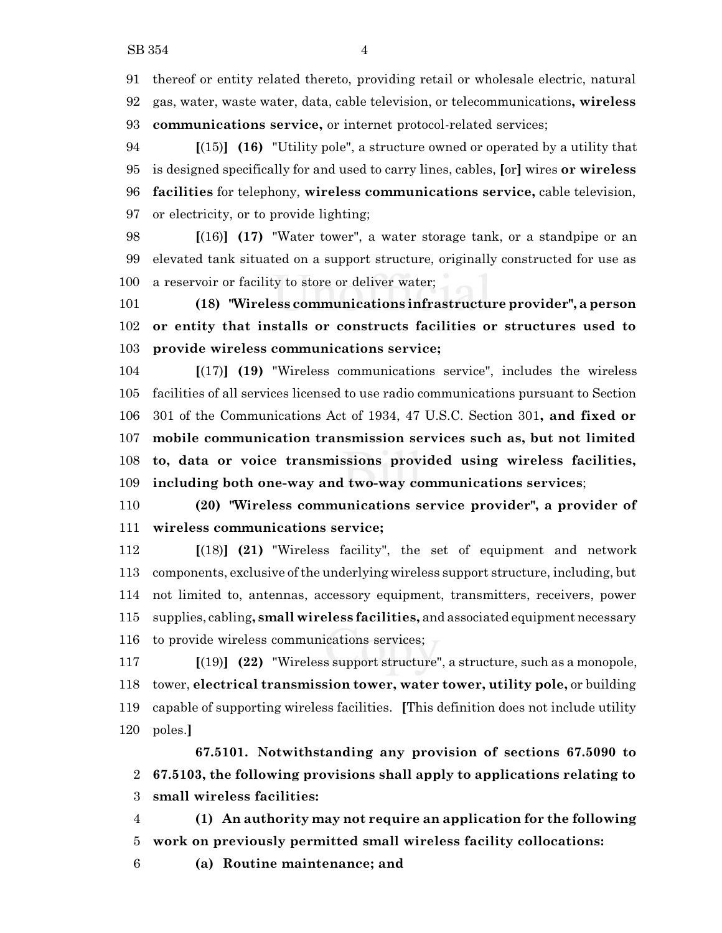thereof or entity related thereto, providing retail or wholesale electric, natural gas, water, waste water, data, cable television, or telecommunications**, wireless communications service,** or internet protocol-related services;

 **[**(15)**] (16)** "Utility pole", a structure owned or operated by a utility that is designed specifically for and used to carry lines, cables, **[**or**]** wires **or wireless facilities** for telephony, **wireless communications service,** cable television, or electricity, or to provide lighting;

 **[**(16)**] (17)** "Water tower", a water storage tank, or a standpipe or an elevated tank situated on a support structure, originally constructed for use as a reservoir or facility to store or deliver water;

 **(18) "Wireless communications infrastructure provider", a person or entity that installs or constructs facilities or structures used to provide wireless communications service;**

 **[**(17)**] (19)** "Wireless communications service", includes the wireless facilities of all services licensed to use radio communications pursuant to Section 301 of the Communications Act of 1934, 47 U.S.C. Section 301**, and fixed or mobile communication transmission services such as, but not limited to, data or voice transmissions provided using wireless facilities, including both one-way and two-way communications services**;

 **(20) "Wireless communications service provider", a provider of wireless communications service;**

 **[**(18)**] (21)** "Wireless facility", the set of equipment and network components, exclusive ofthe underlying wireless support structure, including, but not limited to, antennas, accessory equipment, transmitters, receivers, power supplies, cabling**, small wireless facilities,** and associated equipment necessary to provide wireless communications services;

 **[**(19)**] (22)** "Wireless support structure", a structure, such as a monopole, tower, **electrical transmission tower, water tower, utility pole,** or building capable of supporting wireless facilities. **[**This definition does not include utility poles.**]**

**67.5101. Notwithstanding any provision of sections 67.5090 to 67.5103, the following provisions shall apply to applications relating to small wireless facilities:**

 **(1) An authority may not require an application for the following work on previously permitted small wireless facility collocations:**

**(a) Routine maintenance; and**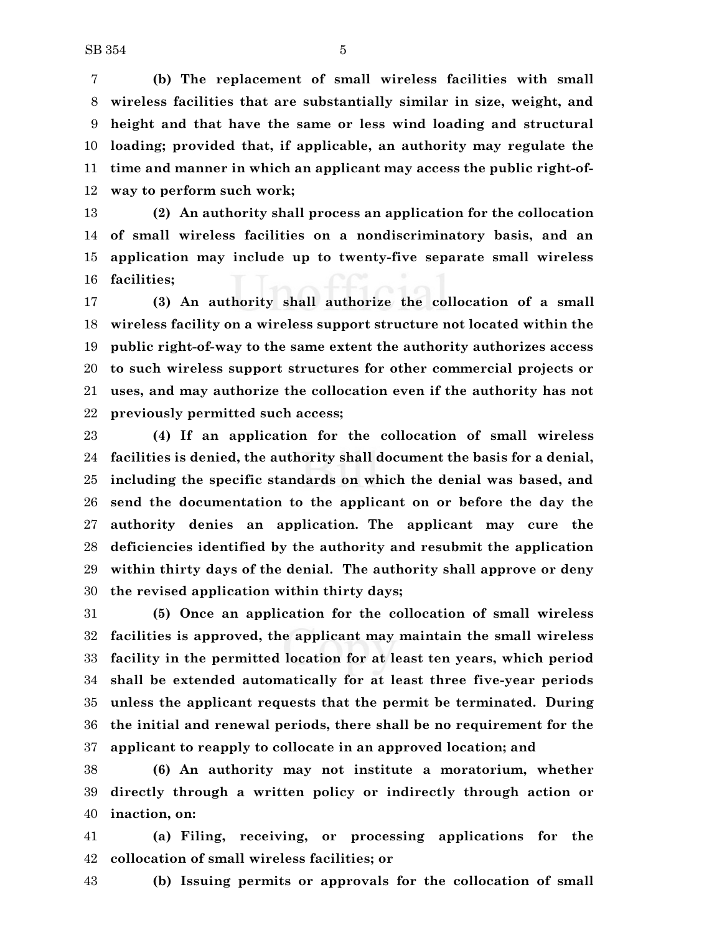**(b) The replacement of small wireless facilities with small wireless facilities that are substantially similar in size, weight, and height and that have the same or less wind loading and structural loading; provided that, if applicable, an authority may regulate the time and manner in which an applicant may access the public right-of-way to perform such work;**

 **(2) An authority shall process an application for the collocation of small wireless facilities on a nondiscriminatory basis, and an application may include up to twenty-five separate small wireless facilities;**

 **(3) An authority shall authorize the collocation of a small wireless facility on a wireless support structure not located within the public right-of-way to the same extent the authority authorizes access to such wireless support structures for other commercial projects or uses, and may authorize the collocation even if the authority has not previously permitted such access;**

 **(4) If an application for the collocation of small wireless facilities is denied, the authority shall document the basis for a denial, including the specific standards on which the denial was based, and send the documentation to the applicant on or before the day the authority denies an application. The applicant may cure the deficiencies identified by the authority and resubmit the application within thirty days of the denial. The authority shall approve or deny the revised application within thirty days;**

 **(5) Once an application for the collocation of small wireless facilities is approved, the applicant may maintain the small wireless facility in the permitted location for at least ten years, which period shall be extended automatically for at least three five-year periods unless the applicant requests that the permit be terminated. During the initial and renewal periods, there shall be no requirement for the applicant to reapply to collocate in an approved location; and**

 **(6) An authority may not institute a moratorium, whether directly through a written policy or indirectly through action or inaction, on:**

 **(a) Filing, receiving, or processing applications for the collocation of small wireless facilities; or**

**(b) Issuing permits or approvals for the collocation of small**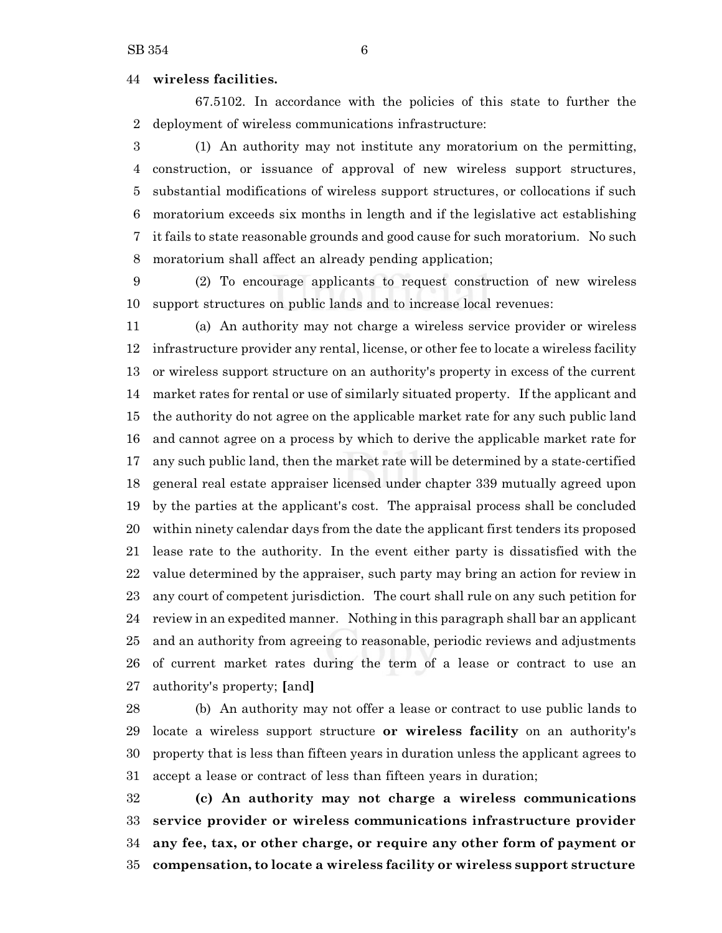### **wireless facilities.**

67.5102. In accordance with the policies of this state to further the deployment of wireless communications infrastructure:

 (1) An authority may not institute any moratorium on the permitting, construction, or issuance of approval of new wireless support structures, substantial modifications of wireless support structures, or collocations if such moratorium exceeds six months in length and if the legislative act establishing it fails to state reasonable grounds and good cause for such moratorium. No such moratorium shall affect an already pending application;

 (2) To encourage applicants to request construction of new wireless support structures on public lands and to increase local revenues:

 (a) An authority may not charge a wireless service provider or wireless infrastructure provider any rental, license, or other fee to locate a wireless facility or wireless support structure on an authority's property in excess of the current market rates for rental or use of similarly situated property. If the applicant and the authority do not agree on the applicable market rate for any such public land and cannot agree on a process by which to derive the applicable market rate for any such public land, then the market rate will be determined by a state-certified general real estate appraiser licensed under chapter 339 mutually agreed upon by the parties at the applicant's cost. The appraisal process shall be concluded within ninety calendar days from the date the applicant first tenders its proposed lease rate to the authority. In the event either party is dissatisfied with the value determined by the appraiser, such party may bring an action for review in any court of competent jurisdiction. The court shall rule on any such petition for review in an expedited manner. Nothing in this paragraph shall bar an applicant and an authority from agreeing to reasonable, periodic reviews and adjustments of current market rates during the term of a lease or contract to use an authority's property; **[**and**]**

 (b) An authority may not offer a lease or contract to use public lands to locate a wireless support structure **or wireless facility** on an authority's property that is less than fifteen years in duration unless the applicant agrees to accept a lease or contract of less than fifteen years in duration;

 **(c) An authority may not charge a wireless communications service provider or wireless communications infrastructure provider any fee, tax, or other charge, or require any other form of payment or compensation, to locate a wireless facility or wireless support structure**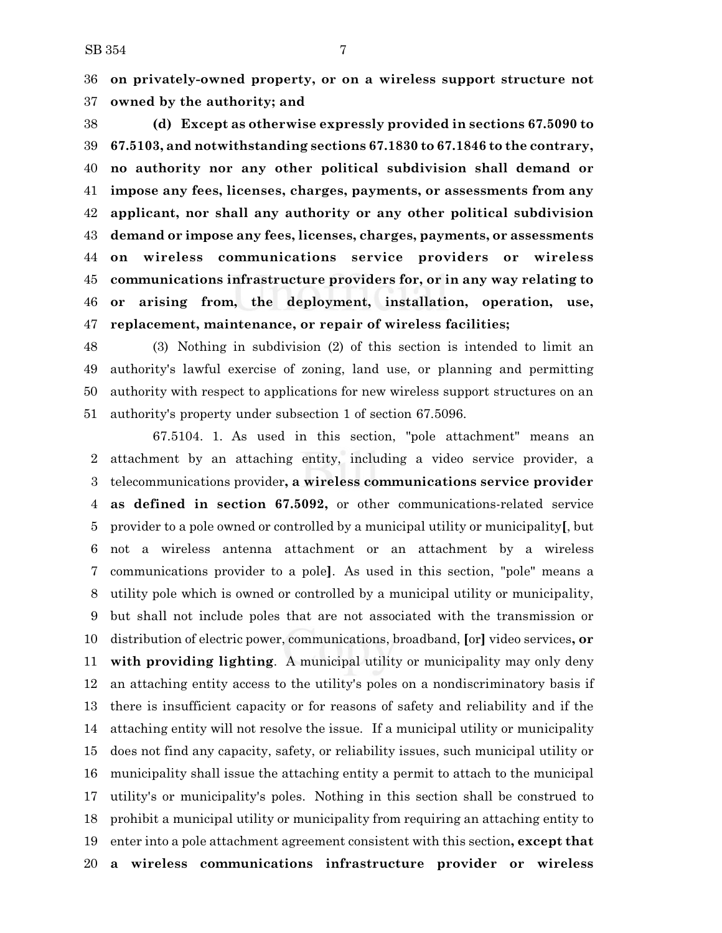**on privately-owned property, or on a wireless support structure not owned by the authority; and**

 **(d) Except as otherwise expressly provided in sections 67.5090 to 67.5103, and notwithstanding sections 67.1830 to 67.1846 to the contrary, no authority nor any other political subdivision shall demand or impose any fees, licenses, charges, payments, or assessments from any applicant, nor shall any authority or any other political subdivision demand or impose any fees, licenses, charges, payments, or assessments on wireless communications service providers or wireless communications infrastructure providers for, or in any way relating to or arising from, the deployment, installation, operation, use, replacement, maintenance, or repair of wireless facilities;**

 (3) Nothing in subdivision (2) of this section is intended to limit an authority's lawful exercise of zoning, land use, or planning and permitting authority with respect to applications for new wireless support structures on an authority's property under subsection 1 of section 67.5096.

67.5104. 1. As used in this section, "pole attachment" means an attachment by an attaching entity, including a video service provider, a telecommunications provider**, a wireless communications service provider as defined in section 67.5092,** or other communications-related service provider to a pole owned or controlled by a municipal utility or municipality**[**, but not a wireless antenna attachment or an attachment by a wireless communications provider to a pole**]**. As used in this section, "pole" means a utility pole which is owned or controlled by a municipal utility or municipality, but shall not include poles that are not associated with the transmission or distribution of electric power, communications, broadband, **[**or**]** video services**, or with providing lighting**. A municipal utility or municipality may only deny an attaching entity access to the utility's poles on a nondiscriminatory basis if there is insufficient capacity or for reasons of safety and reliability and if the attaching entity will not resolve the issue. If a municipal utility or municipality does not find any capacity, safety, or reliability issues, such municipal utility or municipality shall issue the attaching entity a permit to attach to the municipal utility's or municipality's poles. Nothing in this section shall be construed to prohibit a municipal utility or municipality from requiring an attaching entity to enter into a pole attachment agreement consistent with this section**, except that a wireless communications infrastructure provider or wireless**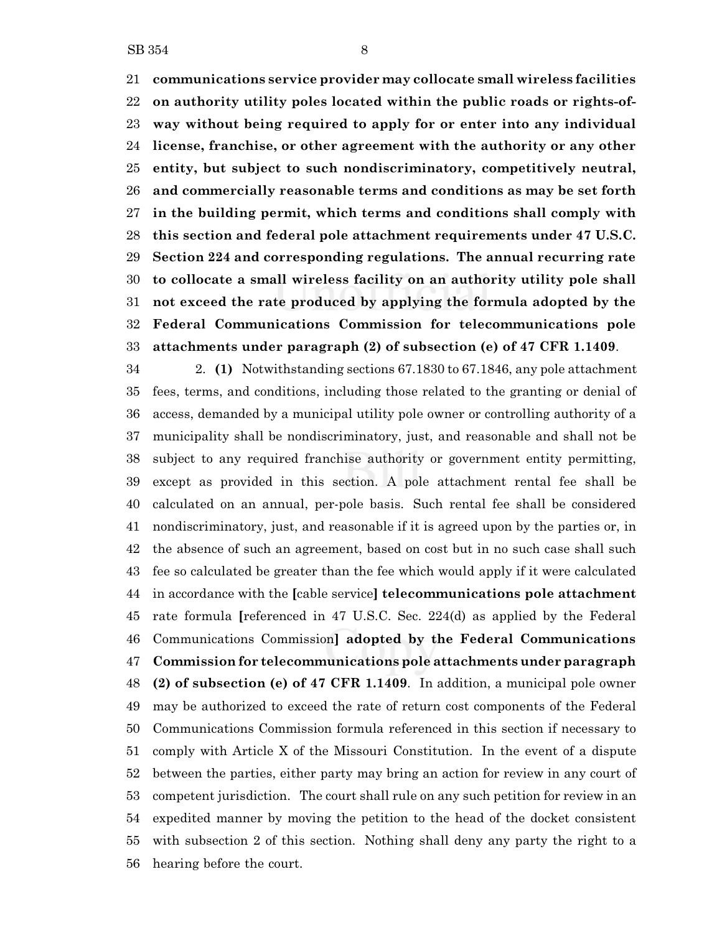**communications service provider may collocate small wireless facilities on authority utility poles located within the public roads or rights-of- way without being required to apply for or enter into any individual license, franchise, or other agreement with the authority or any other entity, but subject to such nondiscriminatory, competitively neutral, and commercially reasonable terms and conditions as may be set forth in the building permit, which terms and conditions shall comply with this section and federal pole attachment requirements under 47 U.S.C. Section 224 and corresponding regulations. The annual recurring rate to collocate a small wireless facility on an authority utility pole shall not exceed the rate produced by applying the formula adopted by the Federal Communications Commission for telecommunications pole attachments under paragraph (2) of subsection (e) of 47 CFR 1.1409**.

 2. **(1)** Notwithstanding sections 67.1830 to 67.1846, any pole attachment fees, terms, and conditions, including those related to the granting or denial of access, demanded by a municipal utility pole owner or controlling authority of a municipality shall be nondiscriminatory, just, and reasonable and shall not be subject to any required franchise authority or government entity permitting, except as provided in this section. A pole attachment rental fee shall be calculated on an annual, per-pole basis. Such rental fee shall be considered nondiscriminatory, just, and reasonable if it is agreed upon by the parties or, in the absence of such an agreement, based on cost but in no such case shall such fee so calculated be greater than the fee which would apply if it were calculated in accordance with the **[**cable service**] telecommunications pole attachment** rate formula **[**referenced in 47 U.S.C. Sec. 224(d) as applied by the Federal Communications Commission**] adopted by the Federal Communications Commission for telecommunications pole attachments under paragraph (2) of subsection (e) of 47 CFR 1.1409**. In addition, a municipal pole owner may be authorized to exceed the rate of return cost components of the Federal Communications Commission formula referenced in this section if necessary to comply with Article X of the Missouri Constitution. In the event of a dispute between the parties, either party may bring an action for review in any court of competent jurisdiction. The court shall rule on any such petition for review in an expedited manner by moving the petition to the head of the docket consistent with subsection 2 of this section. Nothing shall deny any party the right to a hearing before the court.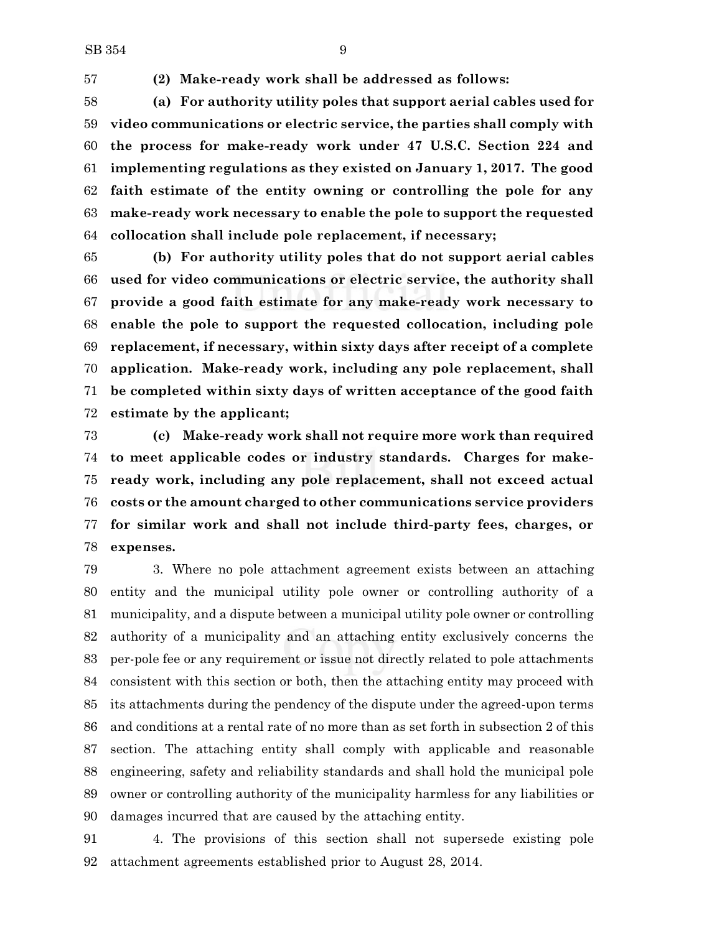**(2) Make-ready work shall be addressed as follows:**

 **(a) For authority utility poles that support aerial cables used for video communications or electric service, the parties shall comply with the process for make-ready work under 47 U.S.C. Section 224 and implementing regulations as they existed on January 1, 2017. The good faith estimate of the entity owning or controlling the pole for any make-ready work necessary to enable the pole to support the requested collocation shall include pole replacement, if necessary;**

 **(b) For authority utility poles that do not support aerial cables used for video communications or electric service, the authority shall provide a good faith estimate for any make-ready work necessary to enable the pole to support the requested collocation, including pole replacement, if necessary, within sixty days after receipt of a complete application. Make-ready work, including any pole replacement, shall be completed within sixty days of written acceptance of the good faith estimate by the applicant;**

 **(c) Make-ready work shall not require more work than required to meet applicable codes or industry standards. Charges for make- ready work, including any pole replacement, shall not exceed actual costs or the amount charged to other communications service providers for similar work and shall not include third-party fees, charges, or expenses.**

 3. Where no pole attachment agreement exists between an attaching entity and the municipal utility pole owner or controlling authority of a municipality, and a dispute between a municipal utility pole owner or controlling authority of a municipality and an attaching entity exclusively concerns the per-pole fee or any requirement or issue not directly related to pole attachments consistent with this section or both, then the attaching entity may proceed with its attachments during the pendency of the dispute under the agreed-upon terms and conditions at a rental rate of no more than as set forth in subsection 2 of this section. The attaching entity shall comply with applicable and reasonable engineering, safety and reliability standards and shall hold the municipal pole owner or controlling authority of the municipality harmless for any liabilities or damages incurred that are caused by the attaching entity.

 4. The provisions of this section shall not supersede existing pole attachment agreements established prior to August 28, 2014.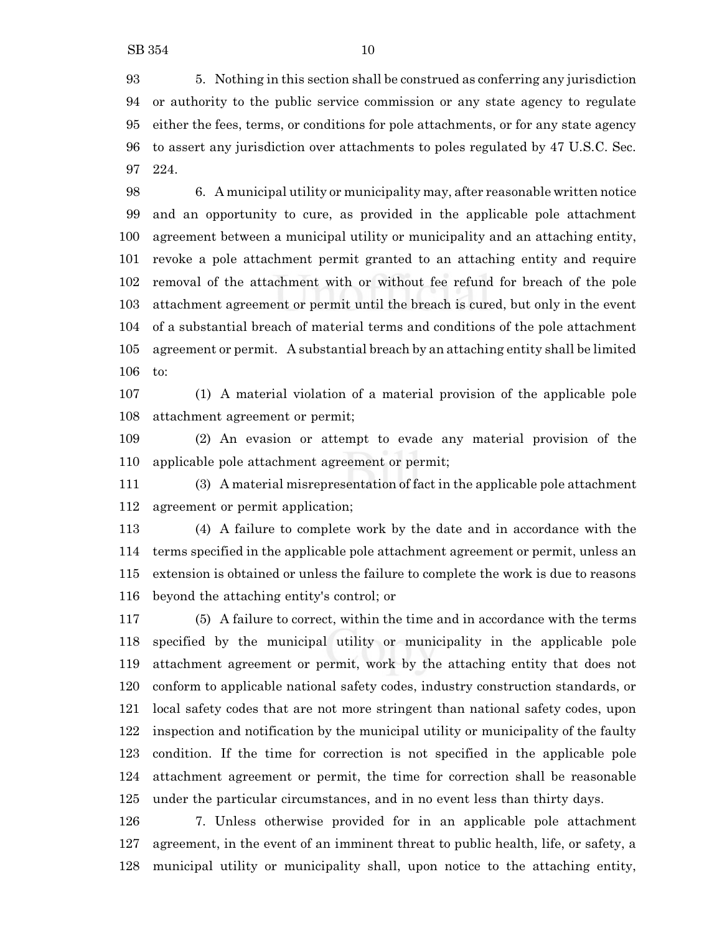5. Nothing in this section shall be construed as conferring any jurisdiction or authority to the public service commission or any state agency to regulate either the fees, terms, or conditions for pole attachments, or for any state agency to assert any jurisdiction over attachments to poles regulated by 47 U.S.C. Sec. 224.

 6. A municipal utility or municipality may, after reasonable written notice and an opportunity to cure, as provided in the applicable pole attachment agreement between a municipal utility or municipality and an attaching entity, revoke a pole attachment permit granted to an attaching entity and require removal of the attachment with or without fee refund for breach of the pole attachment agreement or permit until the breach is cured, but only in the event of a substantial breach of material terms and conditions of the pole attachment agreement or permit. A substantial breach by an attaching entity shall be limited to:

 (1) A material violation of a material provision of the applicable pole attachment agreement or permit;

 (2) An evasion or attempt to evade any material provision of the applicable pole attachment agreement or permit;

 (3) A material misrepresentation of fact in the applicable pole attachment agreement or permit application;

 (4) A failure to complete work by the date and in accordance with the terms specified in the applicable pole attachment agreement or permit, unless an extension is obtained or unless the failure to complete the work is due to reasons beyond the attaching entity's control; or

 (5) A failure to correct, within the time and in accordance with the terms specified by the municipal utility or municipality in the applicable pole attachment agreement or permit, work by the attaching entity that does not conform to applicable national safety codes, industry construction standards, or local safety codes that are not more stringent than national safety codes, upon inspection and notification by the municipal utility or municipality of the faulty condition. If the time for correction is not specified in the applicable pole attachment agreement or permit, the time for correction shall be reasonable under the particular circumstances, and in no event less than thirty days.

 7. Unless otherwise provided for in an applicable pole attachment agreement, in the event of an imminent threat to public health, life, or safety, a municipal utility or municipality shall, upon notice to the attaching entity,